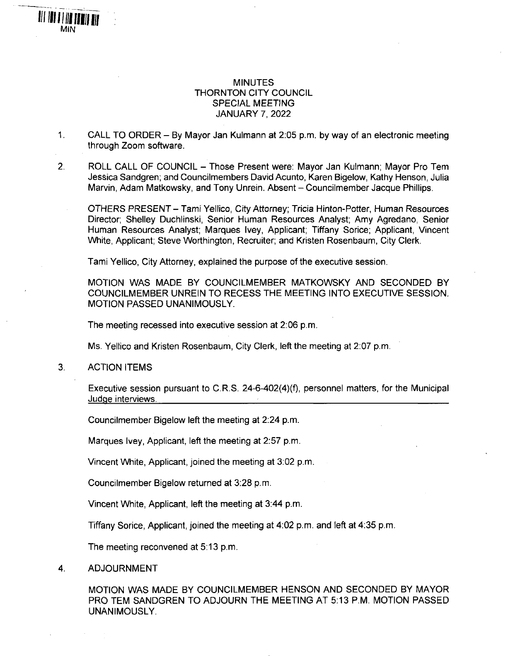## **MINUTES** THORNTON CITY COUNCIL SPECIAL MEETING JANUARY 7, 2022

- 1. CALL TO ORDER By Mayor Jan Kulmann at 2:05 p.m. by way of an electronic meeting through Zoom software.
- 2. ROLL CALL OF COUNCIL Those Present were: Mayor Jan Kulmann; Mayor Pro Tem Jessica Sandgren; and Councilmembers David Acunto, Karen Bigelow, Kathy Henson, Julia Marvin, Adam Matkowsky, and Tony Unrein. Absent - Councilmember Jacque Phillips.

OTHERS PRESENT - Tami Yellico, City Attorney; Tricia Hinton-Potter, Human Resources Director; Shelley Duchlinski, Senior Human Resources Analyst; Amy Agredano, Senior Human Resources Analyst; Marques Ivey, Applicant; Tiffany Sorice; Applicant, Vincent White, Applicant; Steve Worthington, Recruiter; and Kristen Rosenbaum, City Clerk.

Tami Yellico, City Attorney, explained the purpose of the executive session.

MOTION WAS MADE BY COUNCILMEMBER MATKOWSKY AND SECONDED BY COUNCILMEMBER UNREIN TO RECESS THE MEETING INTO EXECUTIVE SESSION. MOTION PASSED UNANIMOUSLY.

The meeting recessed into executive session at 2:06 p.m.

Ms. Yellico and Kristen Rosenbaum, City Clerk, left the meeting at 2:07 p.m.

3. ACTION ITEMS

**Illlllllllllllllll** *MIN*

> Executive session pursuant to C.R.S. 24-6-402(4)(f), personnel matters, for the Municipal Judge interviews.

Councilmember Bigelow left the meeting at 2:24 p.m.

Marques Ivey, Applicant, left the meeting at 2:57 p.m.

Vincent White, Applicant, joined the meeting at 3:02 p.m,

Councilmember Bigelow returned at 3:28 p.m.

Vincent White, Applicant, left the meeting at 3:44 p.m.

Tiffany Sorice, Applicant, joined the meeting at 4:02 p.m. and left at 4:35 p.m.

The meeting reconvened at 5:13 p.m.

4. ADJOURNMENT

MOTION WAS MADE BY COUNCILMEMBER HENSON AND SECONDED BY MAYOR PRO TEM SANDGREN TO ADJOURN THE MEETING AT 5:13 P.M. MOTION PASSED UNANIMOUSLY.